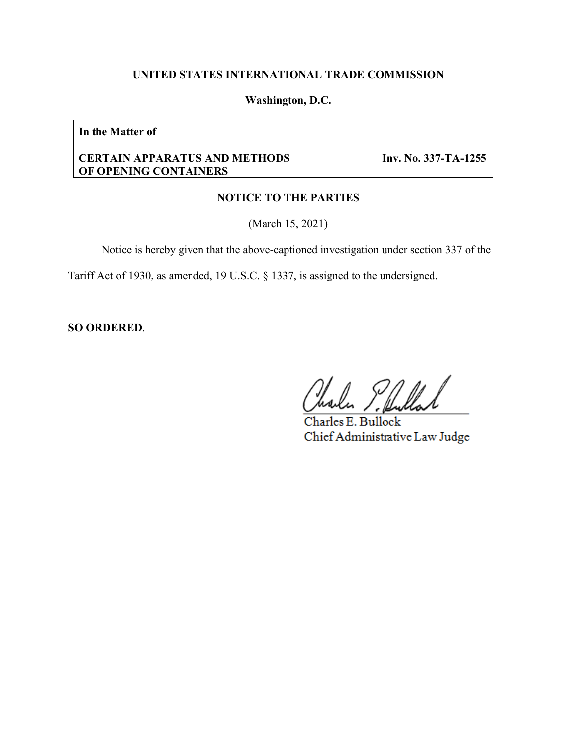## **UNITED STATES INTERNATIONAL TRADE COMMISSION**

## **Washington, D.C.**

**In the Matter of**

### **CERTAIN APPARATUS AND METHODS OF OPENING CONTAINERS**

 **Inv. No. 337-TA-1255**

# **NOTICE TO THE PARTIES**

(March 15, 2021)

Notice is hereby given that the above-captioned investigation under section 337 of the

Tariff Act of 1930, as amended, 19 U.S.C. § 1337, is assigned to the undersigned.

**SO ORDERED**.

Charles E. Bullock Chief Administrative Law Judge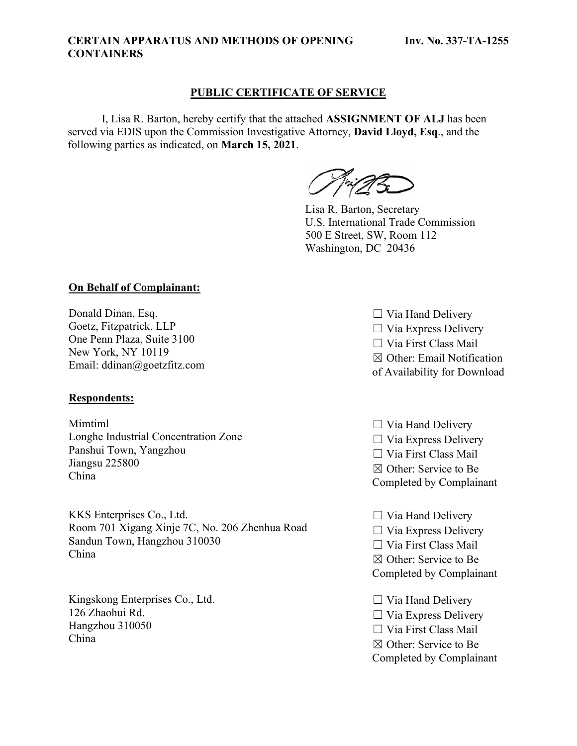#### **CERTAIN APPARATUS AND METHODS OF OPENING CONTAINERS**

# **PUBLIC CERTIFICATE OF SERVICE**

I, Lisa R. Barton, hereby certify that the attached **ASSIGNMENT OF ALJ** has been served via EDIS upon the Commission Investigative Attorney, **David Lloyd, Esq**., and the following parties as indicated, on **March 15, 2021**.

Lisa R. Barton, Secretary U.S. International Trade Commission 500 E Street, SW, Room 112 Washington, DC 20436

## **On Behalf of Complainant:**

Donald Dinan, Esq. Goetz, Fitzpatrick, LLP One Penn Plaza, Suite 3100 New York, NY 10119 Email: ddinan@goetzfitz.com

### **Respondents:**

Mimtiml Longhe Industrial Concentration Zone Panshui Town, Yangzhou Jiangsu 225800 China

KKS Enterprises Co., Ltd. Room 701 Xigang Xinje 7C, No. 206 Zhenhua Road Sandun Town, Hangzhou 310030 China

Kingskong Enterprises Co., Ltd. 126 Zhaohui Rd. Hangzhou 310050 China

 $\Box$  Via Hand Delivery  $\Box$  Via Express Delivery ☐ Via First Class Mail ☒ Other: Email Notification of Availability for Download

- $\Box$  Via Hand Delivery  $\Box$  Via Express Delivery ☐ Via First Class Mail ☒ Other: Service to Be Completed by Complainant
- $\Box$  Via Hand Delivery  $\Box$  Via Express Delivery ☐ Via First Class Mail ☒ Other: Service to Be Completed by Complainant
- $\Box$  Via Hand Delivery  $\Box$  Via Express Delivery ☐ Via First Class Mail ☒ Other: Service to Be Completed by Complainant